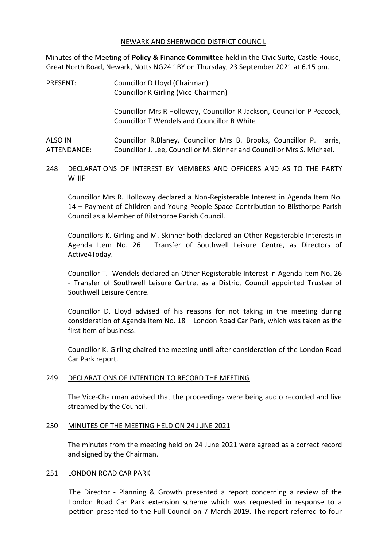#### NEWARK AND SHERWOOD DISTRICT COUNCIL

Minutes of the Meeting of **Policy & Finance Committee** held in the Civic Suite, Castle House, Great North Road, Newark, Notts NG24 1BY on Thursday, 23 September 2021 at 6.15 pm.

PRESENT: Councillor D Lloyd (Chairman) Councillor K Girling (Vice-Chairman)

> Councillor Mrs R Holloway, Councillor R Jackson, Councillor P Peacock, Councillor T Wendels and Councillor R White

ALSO IN ATTENDANCE: Councillor R.Blaney, Councillor Mrs B. Brooks, Councillor P. Harris, Councillor J. Lee, Councillor M. Skinner and Councillor Mrs S. Michael.

## 248 DECLARATIONS OF INTEREST BY MEMBERS AND OFFICERS AND AS TO THE PARTY WHIP

Councillor Mrs R. Holloway declared a Non-Registerable Interest in Agenda Item No. 14 – Payment of Children and Young People Space Contribution to Bilsthorpe Parish Council as a Member of Bilsthorpe Parish Council.

Councillors K. Girling and M. Skinner both declared an Other Registerable Interests in Agenda Item No. 26 – Transfer of Southwell Leisure Centre, as Directors of Active4Today.

Councillor T. Wendels declared an Other Registerable Interest in Agenda Item No. 26 - Transfer of Southwell Leisure Centre, as a District Council appointed Trustee of Southwell Leisure Centre.

Councillor D. Lloyd advised of his reasons for not taking in the meeting during consideration of Agenda Item No. 18 – London Road Car Park, which was taken as the first item of business.

Councillor K. Girling chaired the meeting until after consideration of the London Road Car Park report.

#### 249 DECLARATIONS OF INTENTION TO RECORD THE MEETING

The Vice-Chairman advised that the proceedings were being audio recorded and live streamed by the Council.

#### 250 MINUTES OF THE MEETING HELD ON 24 JUNE 2021

The minutes from the meeting held on 24 June 2021 were agreed as a correct record and signed by the Chairman.

#### 251 LONDON ROAD CAR PARK

The Director - Planning & Growth presented a report concerning a review of the London Road Car Park extension scheme which was requested in response to a petition presented to the Full Council on 7 March 2019. The report referred to four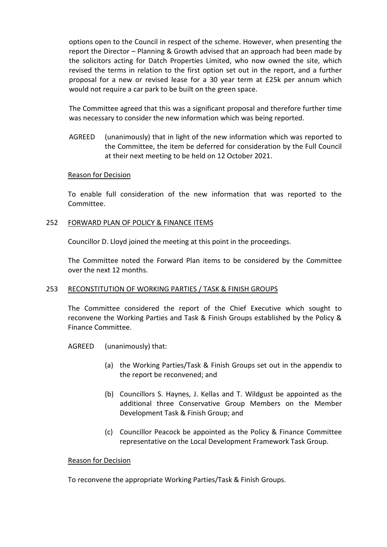options open to the Council in respect of the scheme. However, when presenting the report the Director – Planning & Growth advised that an approach had been made by the solicitors acting for Datch Properties Limited, who now owned the site, which revised the terms in relation to the first option set out in the report, and a further proposal for a new or revised lease for a 30 year term at £25k per annum which would not require a car park to be built on the green space.

The Committee agreed that this was a significant proposal and therefore further time was necessary to consider the new information which was being reported.

AGREED (unanimously) that in light of the new information which was reported to the Committee, the item be deferred for consideration by the Full Council at their next meeting to be held on 12 October 2021.

## Reason for Decision

To enable full consideration of the new information that was reported to the Committee.

## 252 FORWARD PLAN OF POLICY & FINANCE ITEMS

Councillor D. Lloyd joined the meeting at this point in the proceedings.

The Committee noted the Forward Plan items to be considered by the Committee over the next 12 months.

# 253 RECONSTITUTION OF WORKING PARTIES / TASK & FINISH GROUPS

The Committee considered the report of the Chief Executive which sought to reconvene the Working Parties and Task & Finish Groups established by the Policy & Finance Committee.

AGREED (unanimously) that:

- (a) the Working Parties/Task & Finish Groups set out in the appendix to the report be reconvened; and
- (b) Councillors S. Haynes, J. Kellas and T. Wildgust be appointed as the additional three Conservative Group Members on the Member Development Task & Finish Group; and
- (c) Councillor Peacock be appointed as the Policy & Finance Committee representative on the Local Development Framework Task Group.

#### Reason for Decision

To reconvene the appropriate Working Parties/Task & Finish Groups.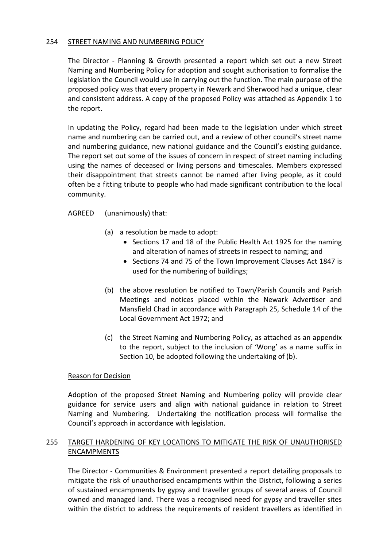## 254 STREET NAMING AND NUMBERING POLICY

The Director - Planning & Growth presented a report which set out a new Street Naming and Numbering Policy for adoption and sought authorisation to formalise the legislation the Council would use in carrying out the function. The main purpose of the proposed policy was that every property in Newark and Sherwood had a unique, clear and consistent address. A copy of the proposed Policy was attached as Appendix 1 to the report.

In updating the Policy, regard had been made to the legislation under which street name and numbering can be carried out, and a review of other council's street name and numbering guidance, new national guidance and the Council's existing guidance. The report set out some of the issues of concern in respect of street naming including using the names of deceased or living persons and timescales. Members expressed their disappointment that streets cannot be named after living people, as it could often be a fitting tribute to people who had made significant contribution to the local community.

AGREED (unanimously) that:

- (a) a resolution be made to adopt:
	- Sections 17 and 18 of the Public Health Act 1925 for the naming and alteration of names of streets in respect to naming; and
	- Sections 74 and 75 of the Town Improvement Clauses Act 1847 is used for the numbering of buildings;
- (b) the above resolution be notified to Town/Parish Councils and Parish Meetings and notices placed within the Newark Advertiser and Mansfield Chad in accordance with Paragraph 25, Schedule 14 of the Local Government Act 1972; and
- (c) the Street Naming and Numbering Policy, as attached as an appendix to the report, subject to the inclusion of 'Wong' as a name suffix in Section 10, be adopted following the undertaking of (b).

#### Reason for Decision

Adoption of the proposed Street Naming and Numbering policy will provide clear guidance for service users and align with national guidance in relation to Street Naming and Numbering. Undertaking the notification process will formalise the Council's approach in accordance with legislation.

## 255 TARGET HARDENING OF KEY LOCATIONS TO MITIGATE THE RISK OF UNAUTHORISED ENCAMPMENTS

The Director - Communities & Environment presented a report detailing proposals to mitigate the risk of unauthorised encampments within the District, following a series of sustained encampments by gypsy and traveller groups of several areas of Council owned and managed land. There was a recognised need for gypsy and traveller sites within the district to address the requirements of resident travellers as identified in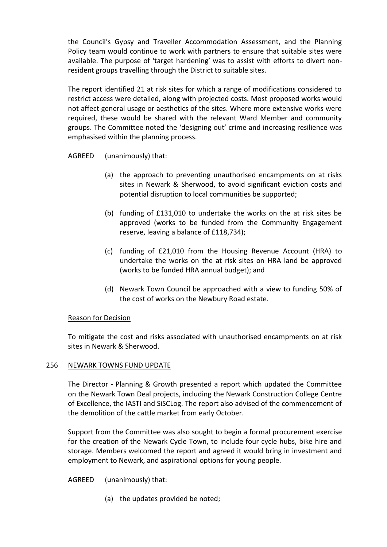the Council's Gypsy and Traveller Accommodation Assessment, and the Planning Policy team would continue to work with partners to ensure that suitable sites were available. The purpose of 'target hardening' was to assist with efforts to divert nonresident groups travelling through the District to suitable sites.

The report identified 21 at risk sites for which a range of modifications considered to restrict access were detailed, along with projected costs. Most proposed works would not affect general usage or aesthetics of the sites. Where more extensive works were required, these would be shared with the relevant Ward Member and community groups. The Committee noted the 'designing out' crime and increasing resilience was emphasised within the planning process.

AGREED (unanimously) that:

- (a) the approach to preventing unauthorised encampments on at risks sites in Newark & Sherwood, to avoid significant eviction costs and potential disruption to local communities be supported;
- (b) funding of £131,010 to undertake the works on the at risk sites be approved (works to be funded from the Community Engagement reserve, leaving a balance of £118,734);
- (c) funding of £21,010 from the Housing Revenue Account (HRA) to undertake the works on the at risk sites on HRA land be approved (works to be funded HRA annual budget); and
- (d) Newark Town Council be approached with a view to funding 50% of the cost of works on the Newbury Road estate.

# Reason for Decision

To mitigate the cost and risks associated with unauthorised encampments on at risk sites in Newark & Sherwood.

#### 256 NEWARK TOWNS FUND UPDATE

The Director - Planning & Growth presented a report which updated the Committee on the Newark Town Deal projects, including the Newark Construction College Centre of Excellence, the IASTI and SiSCLog. The report also advised of the commencement of the demolition of the cattle market from early October.

Support from the Committee was also sought to begin a formal procurement exercise for the creation of the Newark Cycle Town, to include four cycle hubs, bike hire and storage. Members welcomed the report and agreed it would bring in investment and employment to Newark, and aspirational options for young people.

AGREED (unanimously) that:

(a) the updates provided be noted;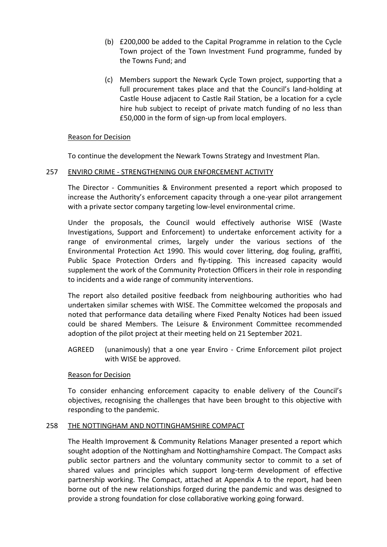- (b) £200,000 be added to the Capital Programme in relation to the Cycle Town project of the Town Investment Fund programme, funded by the Towns Fund; and
- (c) Members support the Newark Cycle Town project, supporting that a full procurement takes place and that the Council's land-holding at Castle House adjacent to Castle Rail Station, be a location for a cycle hire hub subject to receipt of private match funding of no less than £50,000 in the form of sign-up from local employers.

## Reason for Decision

To continue the development the Newark Towns Strategy and Investment Plan.

## 257 ENVIRO CRIME - STRENGTHENING OUR ENFORCEMENT ACTIVITY

The Director - Communities & Environment presented a report which proposed to increase the Authority's enforcement capacity through a one-year pilot arrangement with a private sector company targeting low-level environmental crime.

Under the proposals, the Council would effectively authorise WISE (Waste Investigations, Support and Enforcement) to undertake enforcement activity for a range of environmental crimes, largely under the various sections of the Environmental Protection Act 1990. This would cover littering, dog fouling, graffiti, Public Space Protection Orders and fly-tipping. This increased capacity would supplement the work of the Community Protection Officers in their role in responding to incidents and a wide range of community interventions.

The report also detailed positive feedback from neighbouring authorities who had undertaken similar schemes with WISE. The Committee welcomed the proposals and noted that performance data detailing where Fixed Penalty Notices had been issued could be shared Members. The Leisure & Environment Committee recommended adoption of the pilot project at their meeting held on 21 September 2021.

AGREED (unanimously) that a one year Enviro - Crime Enforcement pilot project with WISE be approved.

#### Reason for Decision

To consider enhancing enforcement capacity to enable delivery of the Council's objectives, recognising the challenges that have been brought to this objective with responding to the pandemic.

# 258 THE NOTTINGHAM AND NOTTINGHAMSHIRE COMPACT

The Health Improvement & Community Relations Manager presented a report which sought adoption of the Nottingham and Nottinghamshire Compact. The Compact asks public sector partners and the voluntary community sector to commit to a set of shared values and principles which support long-term development of effective partnership working. The Compact, attached at Appendix A to the report, had been borne out of the new relationships forged during the pandemic and was designed to provide a strong foundation for close collaborative working going forward.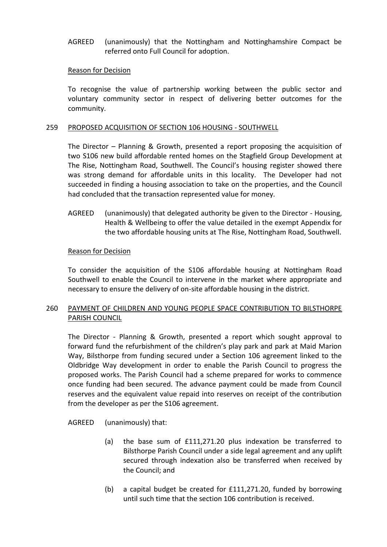AGREED (unanimously) that the Nottingham and Nottinghamshire Compact be referred onto Full Council for adoption.

#### Reason for Decision

To recognise the value of partnership working between the public sector and voluntary community sector in respect of delivering better outcomes for the community.

#### 259 PROPOSED ACQUISITION OF SECTION 106 HOUSING - SOUTHWELL

The Director – Planning & Growth, presented a report proposing the acquisition of two S106 new build affordable rented homes on the Stagfield Group Development at The Rise, Nottingham Road, Southwell. The Council's housing register showed there was strong demand for affordable units in this locality. The Developer had not succeeded in finding a housing association to take on the properties, and the Council had concluded that the transaction represented value for money.

AGREED (unanimously) that delegated authority be given to the Director - Housing, Health & Wellbeing to offer the value detailed in the exempt Appendix for the two affordable housing units at The Rise, Nottingham Road, Southwell.

#### Reason for Decision

To consider the acquisition of the S106 affordable housing at Nottingham Road Southwell to enable the Council to intervene in the market where appropriate and necessary to ensure the delivery of on-site affordable housing in the district.

# 260 PAYMENT OF CHILDREN AND YOUNG PEOPLE SPACE CONTRIBUTION TO BILSTHORPE PARISH COUNCIL

The Director - Planning & Growth, presented a report which sought approval to forward fund the refurbishment of the children's play park and park at Maid Marion Way, Bilsthorpe from funding secured under a Section 106 agreement linked to the Oldbridge Way development in order to enable the Parish Council to progress the proposed works. The Parish Council had a scheme prepared for works to commence once funding had been secured. The advance payment could be made from Council reserves and the equivalent value repaid into reserves on receipt of the contribution from the developer as per the S106 agreement.

AGREED (unanimously) that:

- (a) the base sum of £111,271.20 plus indexation be transferred to Bilsthorpe Parish Council under a side legal agreement and any uplift secured through indexation also be transferred when received by the Council; and
- (b) a capital budget be created for £111,271.20, funded by borrowing until such time that the section 106 contribution is received.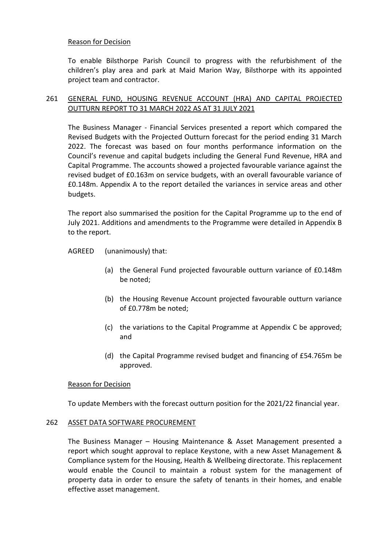### Reason for Decision

To enable Bilsthorpe Parish Council to progress with the refurbishment of the children's play area and park at Maid Marion Way, Bilsthorpe with its appointed project team and contractor.

# 261 GENERAL FUND, HOUSING REVENUE ACCOUNT (HRA) AND CAPITAL PROJECTED OUTTURN REPORT TO 31 MARCH 2022 AS AT 31 JULY 2021

The Business Manager - Financial Services presented a report which compared the Revised Budgets with the Projected Outturn forecast for the period ending 31 March 2022. The forecast was based on four months performance information on the Council's revenue and capital budgets including the General Fund Revenue, HRA and Capital Programme. The accounts showed a projected favourable variance against the revised budget of £0.163m on service budgets, with an overall favourable variance of £0.148m. Appendix A to the report detailed the variances in service areas and other budgets.

The report also summarised the position for the Capital Programme up to the end of July 2021. Additions and amendments to the Programme were detailed in Appendix B to the report.

AGREED (unanimously) that:

- (a) the General Fund projected favourable outturn variance of £0.148m be noted;
- (b) the Housing Revenue Account projected favourable outturn variance of £0.778m be noted;
- (c) the variations to the Capital Programme at Appendix C be approved; and
- (d) the Capital Programme revised budget and financing of £54.765m be approved.

# Reason for Decision

To update Members with the forecast outturn position for the 2021/22 financial year.

#### 262 ASSET DATA SOFTWARE PROCUREMENT

The Business Manager – Housing Maintenance & Asset Management presented a report which sought approval to replace Keystone, with a new Asset Management & Compliance system for the Housing, Health & Wellbeing directorate. This replacement would enable the Council to maintain a robust system for the management of property data in order to ensure the safety of tenants in their homes, and enable effective asset management.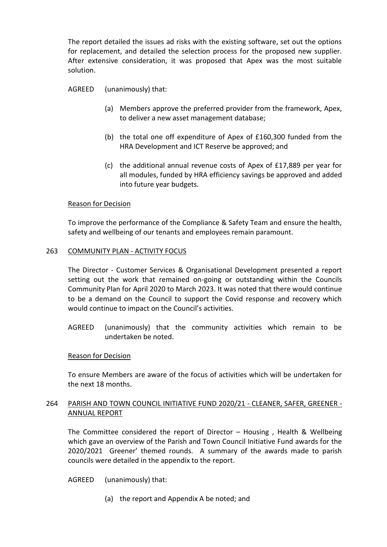The report detailed the issues ad risks with the existing software, set out the options for replacement, and detailed the selection process for the proposed new supplier. After extensive consideration, it was proposed that Apex was the most suitable solution.

AGREED (unanimously) that:

- (a) Members approve the preferred provider from the framework, Apex, to deliver a new asset management database;
- (b) the total one off expenditure of Apex of £160,300 funded from the HRA Development and ICT Reserve be approved; and
- (c) the additional annual revenue costs of Apex of £17,889 per year for all modules, funded by HRA efficiency savings be approved and added into future year budgets.

## Reason for Decision

To improve the performance of the Compliance & Safety Team and ensure the health, safety and wellbeing of our tenants and employees remain paramount.

#### 263 COMMUNITY PLAN - ACTIVITY FOCUS

The Director - Customer Services & Organisational Development presented a report setting out the work that remained on-going or outstanding within the Councils Community Plan for April 2020 to March 2023. It was noted that there would continue to be a demand on the Council to support the Covid response and recovery which would continue to impact on the Council's activities.

AGREED (unanimously) that the community activities which remain to be undertaken be noted.

#### Reason for Decision

To ensure Members are aware of the focus of activities which will be undertaken for the next 18 months.

## 264 PARISH AND TOWN COUNCIL INITIATIVE FUND 2020/21 - CLEANER, SAFER, GREENER - ANNUAL REPORT

The Committee considered the report of Director – Housing , Health & Wellbeing which gave an overview of the Parish and Town Council Initiative Fund awards for the 2020/2021 Greener' themed rounds. A summary of the awards made to parish councils were detailed in the appendix to the report.

AGREED (unanimously) that:

(a) the report and Appendix A be noted; and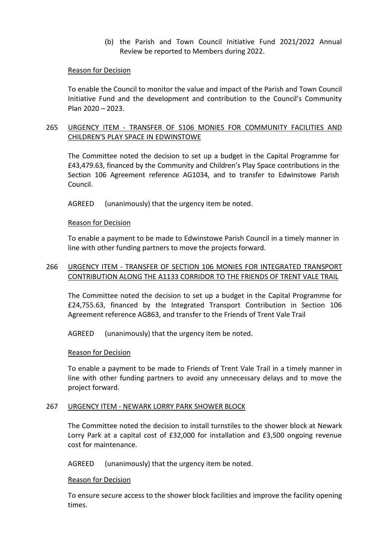(b) the Parish and Town Council Initiative Fund 2021/2022 Annual Review be reported to Members during 2022.

#### Reason for Decision

To enable the Council to monitor the value and impact of the Parish and Town Council Initiative Fund and the development and contribution to the Council's Community Plan 2020 – 2023.

## 265 URGENCY ITEM - TRANSFER OF S106 MONIES FOR COMMUNITY FACILITIES AND CHILDREN'S PLAY SPACE IN EDWINSTOWE

The Committee noted the decision to set up a budget in the Capital Programme for £43,479.63, financed by the Community and Children's Play Space contributions in the Section 106 Agreement reference AG1034, and to transfer to Edwinstowe Parish Council.

AGREED (unanimously) that the urgency item be noted.

#### Reason for Decision

To enable a payment to be made to Edwinstowe Parish Council in a timely manner in line with other funding partners to move the projects forward.

## 266 URGENCY ITEM - TRANSFER OF SECTION 106 MONIES FOR INTEGRATED TRANSPORT CONTRIBUTION ALONG THE A1133 CORRIDOR TO THE FRIENDS OF TRENT VALE TRAIL

The Committee noted the decision to set up a budget in the Capital Programme for £24,755.63, financed by the Integrated Transport Contribution in Section 106 Agreement reference AG863, and transfer to the Friends of Trent Vale Trail

AGREED (unanimously) that the urgency item be noted.

#### Reason for Decision

To enable a payment to be made to Friends of Trent Vale Trail in a timely manner in line with other funding partners to avoid any unnecessary delays and to move the project forward.

#### 267 URGENCY ITEM - NEWARK LORRY PARK SHOWER BLOCK

The Committee noted the decision to install turnstiles to the shower block at Newark Lorry Park at a capital cost of £32,000 for installation and £3,500 ongoing revenue cost for maintenance.

AGREED (unanimously) that the urgency item be noted.

#### Reason for Decision

To ensure secure access to the shower block facilities and improve the facility opening times.